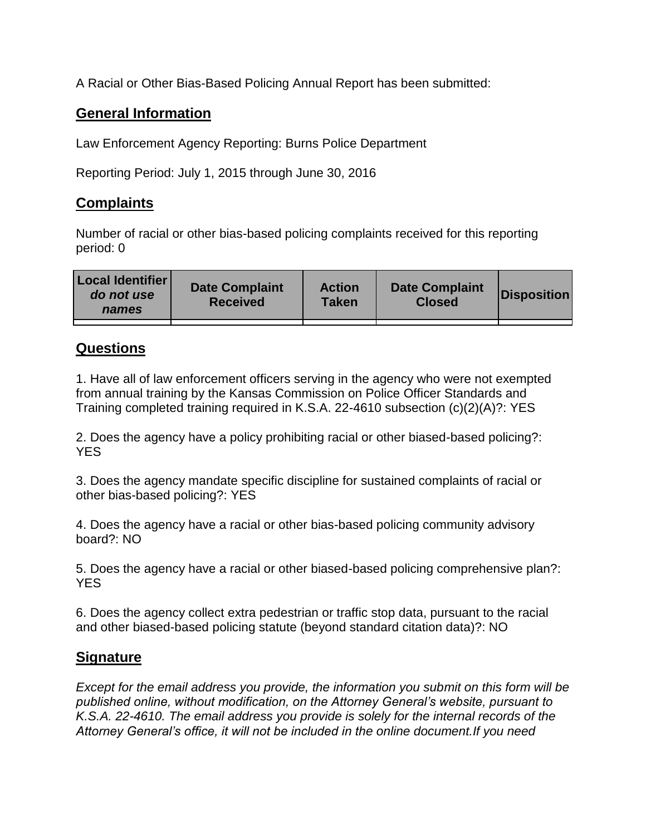A Racial or Other Bias-Based Policing Annual Report has been submitted:

## **General Information**

Law Enforcement Agency Reporting: Burns Police Department

Reporting Period: July 1, 2015 through June 30, 2016

## **Complaints**

Number of racial or other bias-based policing complaints received for this reporting period: 0

| <b>Local Identifier</b><br>do not use<br>names | <b>Date Complaint</b><br><b>Received</b> | <b>Action</b><br><b>Taken</b> | <b>Date Complaint</b><br><b>Closed</b> | Disposition |
|------------------------------------------------|------------------------------------------|-------------------------------|----------------------------------------|-------------|
|                                                |                                          |                               |                                        |             |

## **Questions**

1. Have all of law enforcement officers serving in the agency who were not exempted from annual training by the Kansas Commission on Police Officer Standards and Training completed training required in K.S.A. 22-4610 subsection (c)(2)(A)?: YES

2. Does the agency have a policy prohibiting racial or other biased-based policing?: YES

3. Does the agency mandate specific discipline for sustained complaints of racial or other bias-based policing?: YES

4. Does the agency have a racial or other bias-based policing community advisory board?: NO

5. Does the agency have a racial or other biased-based policing comprehensive plan?: YES

6. Does the agency collect extra pedestrian or traffic stop data, pursuant to the racial and other biased-based policing statute (beyond standard citation data)?: NO

## **Signature**

*Except for the email address you provide, the information you submit on this form will be published online, without modification, on the Attorney General's website, pursuant to K.S.A. 22-4610. The email address you provide is solely for the internal records of the Attorney General's office, it will not be included in the online document.If you need*